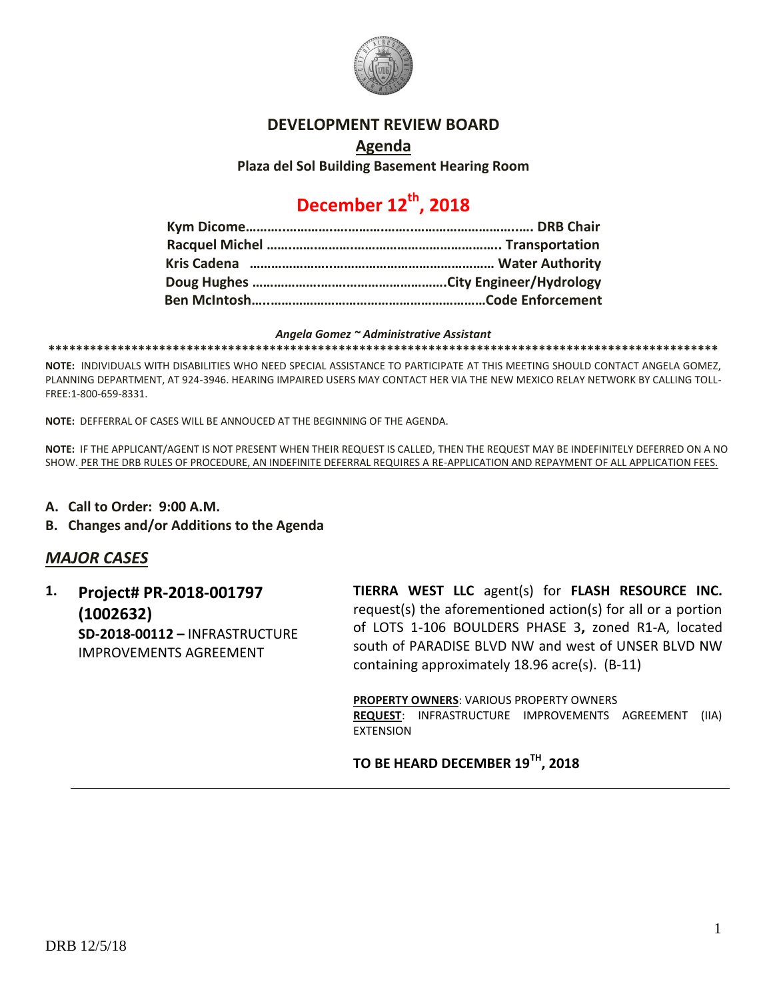

### **DEVELOPMENT REVIEW BOARD**

#### **Agenda**

**Plaza del Sol Building Basement Hearing Room**

# **December 12th, 2018**

#### *Angela Gomez ~ Administrative Assistant*

**\*\*\*\*\*\*\*\*\*\*\*\*\*\*\*\*\*\*\*\*\*\*\*\*\*\*\*\*\*\*\*\*\*\*\*\*\*\*\*\*\*\*\*\*\*\*\*\*\*\*\*\*\*\*\*\*\*\*\*\*\*\*\*\*\*\*\*\*\*\*\*\*\*\*\*\*\*\*\*\*\*\*\*\*\*\*\*\*\*\*\*\*\*\*\*\*\***

**NOTE:** INDIVIDUALS WITH DISABILITIES WHO NEED SPECIAL ASSISTANCE TO PARTICIPATE AT THIS MEETING SHOULD CONTACT ANGELA GOMEZ, PLANNING DEPARTMENT, AT 924-3946. HEARING IMPAIRED USERS MAY CONTACT HER VIA THE NEW MEXICO RELAY NETWORK BY CALLING TOLL-FREE:1-800-659-8331.

**NOTE:** DEFFERRAL OF CASES WILL BE ANNOUCED AT THE BEGINNING OF THE AGENDA.

**NOTE:** IF THE APPLICANT/AGENT IS NOT PRESENT WHEN THEIR REQUEST IS CALLED, THEN THE REQUEST MAY BE INDEFINITELY DEFERRED ON A NO SHOW. PER THE DRB RULES OF PROCEDURE, AN INDEFINITE DEFERRAL REQUIRES A RE-APPLICATION AND REPAYMENT OF ALL APPLICATION FEES.

- **A. Call to Order: 9:00 A.M.**
- **B. Changes and/or Additions to the Agenda**

### *MAJOR CASES*

**1. Project# PR-2018-001797 (1002632) SD-2018-00112 –** INFRASTRUCTURE IMPROVEMENTS AGREEMENT

**TIERRA WEST LLC** agent(s) for **FLASH RESOURCE INC.** request(s) the aforementioned action(s) for all or a portion of LOTS 1-106 BOULDERS PHASE 3**,** zoned R1-A, located south of PARADISE BLVD NW and west of UNSER BLVD NW containing approximately 18.96 acre(s). (B-11)

**PROPERTY OWNERS**: VARIOUS PROPERTY OWNERS **REQUEST**: INFRASTRUCTURE IMPROVEMENTS AGREEMENT (IIA) EXTENSION

**TO BE HEARD DECEMBER 19TH, 2018**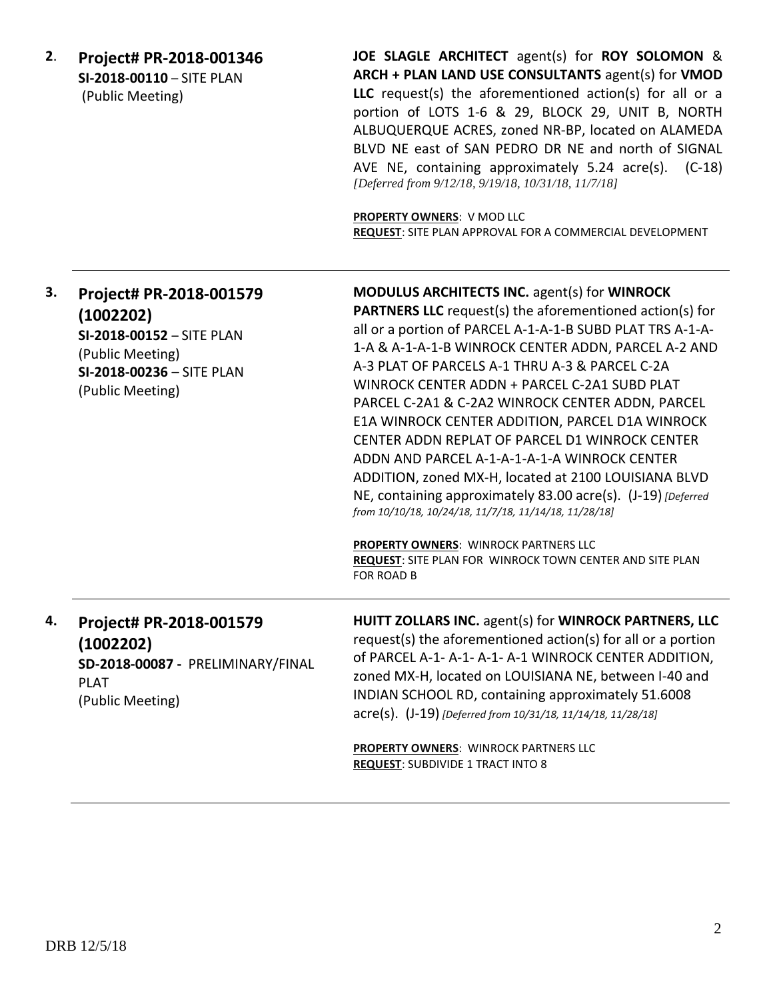**2**. **Project# PR-2018-001346 SI-2018-00110** – SITE PLAN (Public Meeting)

**JOE SLAGLE ARCHITECT** agent(s) for **ROY SOLOMON** & **ARCH + PLAN LAND USE CONSULTANTS** agent(s) for **VMOD LLC** request(s) the aforementioned action(s) for all or a portion of LOTS 1-6 & 29, BLOCK 29, UNIT B, NORTH ALBUQUERQUE ACRES, zoned NR-BP, located on ALAMEDA BLVD NE east of SAN PEDRO DR NE and north of SIGNAL AVE NE, containing approximately 5.24 acre(s). (C-18) *[Deferred from 9/12/18, 9/19/18, 10/31/18, 11/7/18]*

**PROPERTY OWNERS**: V MOD LLC **REQUEST**: SITE PLAN APPROVAL FOR A COMMERCIAL DEVELOPMENT

| 3. | Project# PR-2018-001579<br>(1002202)<br>SI-2018-00152 - SITE PLAN<br>(Public Meeting)<br>SI-2018-00236 - SITE PLAN<br>(Public Meeting) | <b>MODULUS ARCHITECTS INC. agent(s) for WINROCK</b><br><b>PARTNERS LLC</b> request(s) the aforementioned action(s) for<br>all or a portion of PARCEL A-1-A-1-B SUBD PLAT TRS A-1-A-<br>1-A & A-1-A-1-B WINROCK CENTER ADDN, PARCEL A-2 AND<br>A-3 PLAT OF PARCELS A-1 THRU A-3 & PARCEL C-2A<br>WINROCK CENTER ADDN + PARCEL C-2A1 SUBD PLAT<br>PARCEL C-2A1 & C-2A2 WINROCK CENTER ADDN, PARCEL<br>E1A WINROCK CENTER ADDITION, PARCEL D1A WINROCK<br>CENTER ADDN REPLAT OF PARCEL D1 WINROCK CENTER<br>ADDN AND PARCEL A-1-A-1-A-1-A WINROCK CENTER<br>ADDITION, zoned MX-H, located at 2100 LOUISIANA BLVD<br>NE, containing approximately 83.00 acre(s). (J-19) [Deferred]<br>from 10/10/18, 10/24/18, 11/7/18, 11/14/18, 11/28/18]<br>PROPERTY OWNERS: WINROCK PARTNERS LLC<br>REQUEST: SITE PLAN FOR WINROCK TOWN CENTER AND SITE PLAN<br>FOR ROAD B |
|----|----------------------------------------------------------------------------------------------------------------------------------------|------------------------------------------------------------------------------------------------------------------------------------------------------------------------------------------------------------------------------------------------------------------------------------------------------------------------------------------------------------------------------------------------------------------------------------------------------------------------------------------------------------------------------------------------------------------------------------------------------------------------------------------------------------------------------------------------------------------------------------------------------------------------------------------------------------------------------------------------------------|
| 4. | Project# PR-2018-001579<br>(1002202)<br>SD-2018-00087 - PRELIMINARY/FINAL<br><b>PLAT</b><br>(Public Meeting)                           | HUITT ZOLLARS INC. agent(s) for WINROCK PARTNERS, LLC<br>request(s) the aforementioned action(s) for all or a portion<br>of PARCEL A-1- A-1- A-1- A-1 WINROCK CENTER ADDITION,<br>zoned MX-H, located on LOUISIANA NE, between I-40 and<br>INDIAN SCHOOL RD, containing approximately 51.6008<br>acre(s). (J-19) [Deferred from 10/31/18, 11/14/18, 11/28/18]                                                                                                                                                                                                                                                                                                                                                                                                                                                                                              |
|    |                                                                                                                                        | <b>PROPERTY OWNERS: WINROCK PARTNERS LLC</b><br><b>REQUEST: SUBDIVIDE 1 TRACT INTO 8</b>                                                                                                                                                                                                                                                                                                                                                                                                                                                                                                                                                                                                                                                                                                                                                                   |